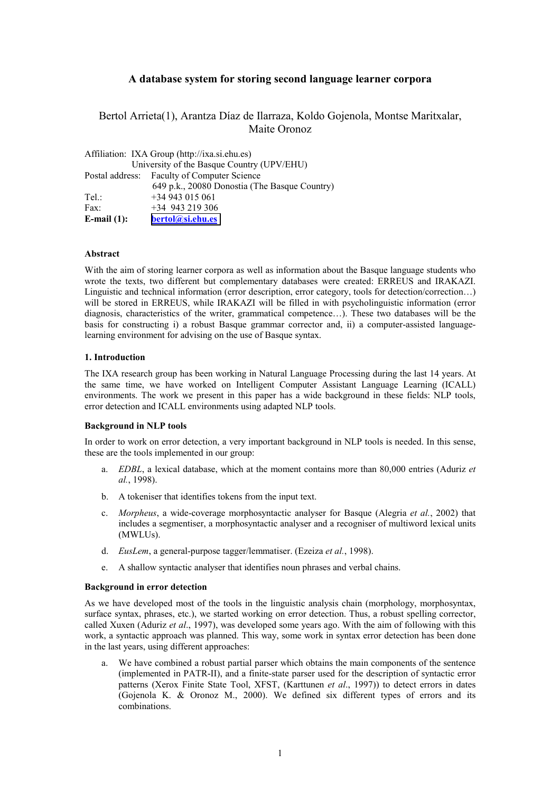# **A database system for storing second language learner corpora**

Bertol Arrieta(1), Arantza Díaz de Ilarraza, Koldo Gojenola, Montse Maritxalar, Maite Oronoz

| Affiliation: IXA Group (http://ixa.si.ehu.es) |                                               |  |  |
|-----------------------------------------------|-----------------------------------------------|--|--|
| University of the Basque Country (UPV/EHU)    |                                               |  |  |
|                                               | Postal address: Faculty of Computer Science   |  |  |
|                                               | 649 p.k., 20080 Donostia (The Basque Country) |  |  |
| Tel:                                          | $+34943015061$                                |  |  |
| Fax:                                          | $+34$ 943 219 306                             |  |  |
| E-mail $(1)$ :                                | bertol@si.ehu.es                              |  |  |

## **Abstract**

With the aim of storing learner corpora as well as information about the Basque language students who wrote the texts, two different but complementary databases were created: ERREUS and IRAKAZI. Linguistic and technical information (error description, error category, tools for detection/correction…) will be stored in ERREUS, while IRAKAZI will be filled in with psycholinguistic information (error diagnosis, characteristics of the writer, grammatical competence…). These two databases will be the basis for constructing i) a robust Basque grammar corrector and, ii) a computer-assisted languagelearning environment for advising on the use of Basque syntax.

## **1. Introduction**

The IXA research group has been working in Natural Language Processing during the last 14 years. At the same time, we have worked on Intelligent Computer Assistant Language Learning (ICALL) environments. The work we present in this paper has a wide background in these fields: NLP tools, error detection and ICALL environments using adapted NLP tools.

### **Background in NLP tools**

In order to work on error detection, a very important background in NLP tools is needed. In this sense, these are the tools implemented in our group:

- a. *EDBL*, a lexical database, which at the moment contains more than 80,000 entries (Aduriz *et al.*, 1998).
- b. A tokeniser that identifies tokens from the input text.
- c. *Morpheus*, a wide-coverage morphosyntactic analyser for Basque (Alegria *et al.*, 2002) that includes a segmentiser, a morphosyntactic analyser and a recogniser of multiword lexical units (MWLUs).
- d. *EusLem*, a general-purpose tagger/lemmatiser. (Ezeiza *et al.*, 1998).
- e. A shallow syntactic analyser that identifies noun phrases and verbal chains.

### **Background in error detection**

As we have developed most of the tools in the linguistic analysis chain (morphology, morphosyntax, surface syntax, phrases, etc.), we started working on error detection. Thus, a robust spelling corrector, called Xuxen (Aduriz *et al*., 1997), was developed some years ago. With the aim of following with this work, a syntactic approach was planned. This way, some work in syntax error detection has been done in the last years, using different approaches:

We have combined a robust partial parser which obtains the main components of the sentence (implemented in PATR-II), and a finite-state parser used for the description of syntactic error patterns (Xerox Finite State Tool, XFST, (Karttunen *et al*., 1997)) to detect errors in dates (Gojenola K. & Oronoz M., 2000). We defined six different types of errors and its combinations.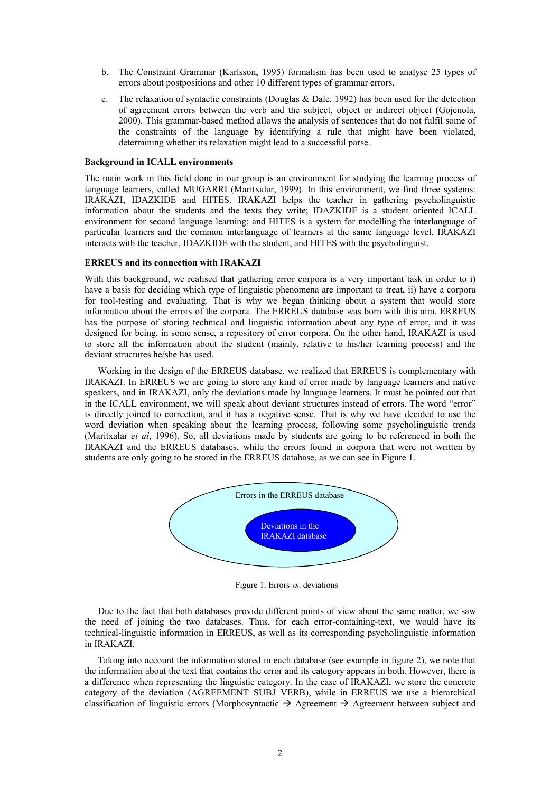- b. The Constraint Grammar (Karlsson, 1995) formalism has been used to analyse 25 types of errors about postpositions and other 10 different types of grammar errors.
- c. The relaxation of syntactic constraints (Douglas  $& Dale, 1992$ ) has been used for the detection of agreement errors between the verb and the subject, object or indirect object (Gojenola, 2000). This grammar-based method allows the analysis of sentences that do not fulfil some of the constraints of the language by identifying a rule that might have been violated, determining whether its relaxation might lead to a successful parse.

### **Background in ICALL environments**

The main work in this field done in our group is an environment for studying the learning process of language learners, called MUGARRI (Maritxalar, 1999). In this environment, we find three systems: IRAKAZI, IDAZKIDE and HITES. IRAKAZI helps the teacher in gathering psycholinguistic information about the students and the texts they write; IDAZKIDE is a student oriented ICALL environment for second language learning; and HITES is a system for modelling the interlanguage of particular learners and the common interlanguage of learners at the same language level. IRAKAZI interacts with the teacher, IDAZKIDE with the student, and HITES with the psycholinguist.

## **ERREUS and its connection with IRAKAZI**

With this background, we realised that gathering error corpora is a very important task in order to i) have a basis for deciding which type of linguistic phenomena are important to treat, ii) have a corpora for tool-testing and evaluating. That is why we began thinking about a system that would store information about the errors of the corpora. The ERREUS database was born with this aim. ERREUS has the purpose of storing technical and linguistic information about any type of error, and it was designed for being, in some sense, a repository of error corpora. On the other hand, IRAKAZI is used to store all the information about the student (mainly, relative to his/her learning process) and the deviant structures he/she has used.

Working in the design of the ERREUS database, we realized that ERREUS is complementary with IRAKAZI. In ERREUS we are going to store any kind of error made by language learners and native speakers, and in IRAKAZI, only the deviations made by language learners. It must be pointed out that in the ICALL environment, we will speak about deviant structures instead of errors. The word "error" is directly joined to correction, and it has a negative sense. That is why we have decided to use the word deviation when speaking about the learning process, following some psycholinguistic trends (Maritxalar *et al*, 1996). So, all deviations made by students are going to be referenced in both the IRAKAZI and the ERREUS databases, while the errors found in corpora that were not written by students are only going to be stored in the ERREUS database, as we can see in Figure 1.



Figure 1: Errors *vs*. deviations

Due to the fact that both databases provide different points of view about the same matter, we saw the need of joining the two databases. Thus, for each error-containing-text, we would have its technical-linguistic information in ERREUS, as well as its corresponding psycholinguistic information in IRAKAZI.

Taking into account the information stored in each database (see example in figure 2), we note that the information about the text that contains the error and its category appears in both. However, there is a difference when representing the linguistic category. In the case of IRAKAZI, we store the concrete category of the deviation (AGREEMENT SUBJ\_VERB), while in ERREUS we use a hierarchical classification of linguistic errors (Morphosyntactic  $\rightarrow$  Agreement  $\rightarrow$  Agreement between subject and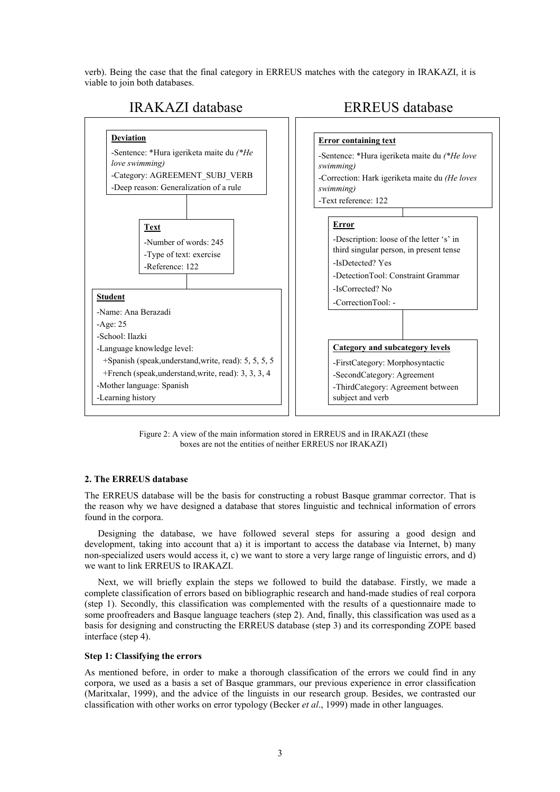verb). Being the case that the final category in ERREUS matches with the category in IRAKAZI, it is viable to join both databases.



Figure 2: A view of the main information stored in ERREUS and in IRAKAZI (these boxes are not the entities of neither ERREUS nor IRAKAZI)

## **2. The ERREUS database**

The ERREUS database will be the basis for constructing a robust Basque grammar corrector. That is the reason why we have designed a database that stores linguistic and technical information of errors found in the corpora.

Designing the database, we have followed several steps for assuring a good design and development, taking into account that a) it is important to access the database via Internet, b) many non-specialized users would access it, c) we want to store a very large range of linguistic errors, and d) we want to link ERREUS to IRAKAZI.

Next, we will briefly explain the steps we followed to build the database. Firstly, we made a complete classification of errors based on bibliographic research and hand-made studies of real corpora (step 1). Secondly, this classification was complemented with the results of a questionnaire made to some proofreaders and Basque language teachers (step 2). And, finally, this classification was used as a basis for designing and constructing the ERREUS database (step 3) and its corresponding ZOPE based interface (step 4).

## **Step 1: Classifying the errors**

As mentioned before, in order to make a thorough classification of the errors we could find in any corpora, we used as a basis a set of Basque grammars, our previous experience in error classification (Maritxalar, 1999), and the advice of the linguists in our research group. Besides, we contrasted our classification with other works on error typology (Becker *et al*., 1999) made in other languages.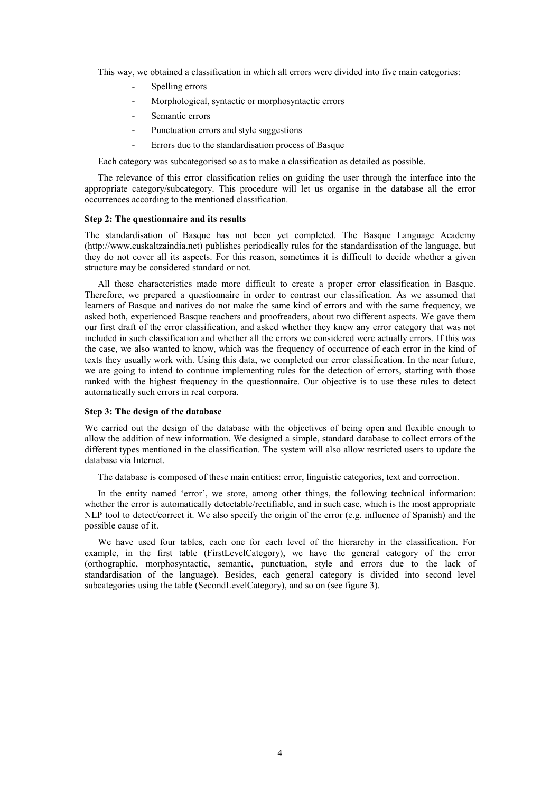This way, we obtained a classification in which all errors were divided into five main categories:

- Spelling errors
- Morphological, syntactic or morphosyntactic errors
- Semantic errors
- Punctuation errors and style suggestions
- Errors due to the standardisation process of Basque

Each category was subcategorised so as to make a classification as detailed as possible.

The relevance of this error classification relies on guiding the user through the interface into the appropriate category/subcategory. This procedure will let us organise in the database all the error occurrences according to the mentioned classification.

#### **Step 2: The questionnaire and its results**

The standardisation of Basque has not been yet completed. The Basque Language Academy (http://www.euskaltzaindia.net) publishes periodically rules for the standardisation of the language, but they do not cover all its aspects. For this reason, sometimes it is difficult to decide whether a given structure may be considered standard or not.

All these characteristics made more difficult to create a proper error classification in Basque. Therefore, we prepared a questionnaire in order to contrast our classification. As we assumed that learners of Basque and natives do not make the same kind of errors and with the same frequency, we asked both, experienced Basque teachers and proofreaders, about two different aspects. We gave them our first draft of the error classification, and asked whether they knew any error category that was not included in such classification and whether all the errors we considered were actually errors. If this was the case, we also wanted to know, which was the frequency of occurrence of each error in the kind of texts they usually work with. Using this data, we completed our error classification. In the near future, we are going to intend to continue implementing rules for the detection of errors, starting with those ranked with the highest frequency in the questionnaire. Our objective is to use these rules to detect automatically such errors in real corpora.

## **Step 3: The design of the database**

We carried out the design of the database with the objectives of being open and flexible enough to allow the addition of new information. We designed a simple, standard database to collect errors of the different types mentioned in the classification. The system will also allow restricted users to update the database via Internet.

The database is composed of these main entities: error, linguistic categories, text and correction.

In the entity named 'error', we store, among other things, the following technical information: whether the error is automatically detectable/rectifiable, and in such case, which is the most appropriate NLP tool to detect/correct it. We also specify the origin of the error (e.g. influence of Spanish) and the possible cause of it.

We have used four tables, each one for each level of the hierarchy in the classification. For example, in the first table (FirstLevelCategory), we have the general category of the error (orthographic, morphosyntactic, semantic, punctuation, style and errors due to the lack of standardisation of the language). Besides, each general category is divided into second level subcategories using the table (SecondLevelCategory), and so on (see figure 3).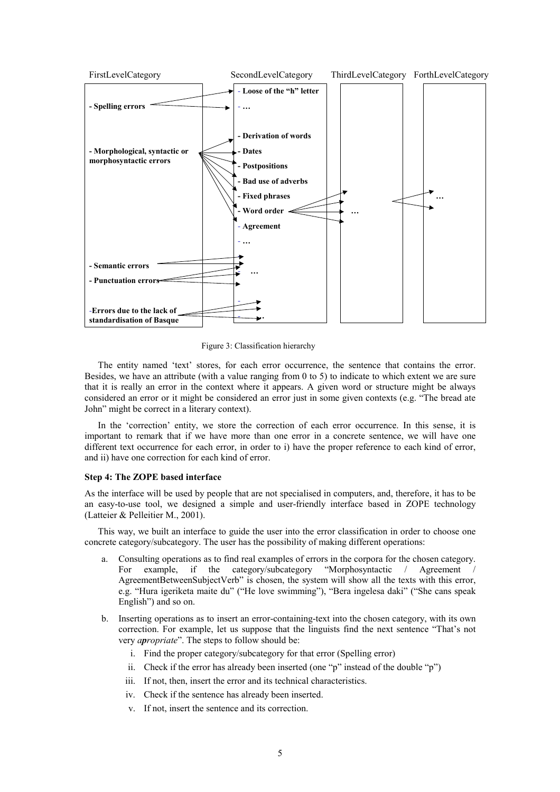

Figure 3: Classification hierarchy

The entity named 'text' stores, for each error occurrence, the sentence that contains the error. Besides, we have an attribute (with a value ranging from 0 to 5) to indicate to which extent we are sure that it is really an error in the context where it appears. A given word or structure might be always considered an error or it might be considered an error just in some given contexts (e.g. "The bread ate John" might be correct in a literary context).

In the 'correction' entity, we store the correction of each error occurrence. In this sense, it is important to remark that if we have more than one error in a concrete sentence, we will have one different text occurrence for each error, in order to i) have the proper reference to each kind of error, and ii) have one correction for each kind of error.

## **Step 4: The ZOPE based interface**

As the interface will be used by people that are not specialised in computers, and, therefore, it has to be an easy-to-use tool, we designed a simple and user-friendly interface based in ZOPE technology (Latteier & Pelleitier M., 2001).

This way, we built an interface to guide the user into the error classification in order to choose one concrete category/subcategory. The user has the possibility of making different operations:

- a. Consulting operations as to find real examples of errors in the corpora for the chosen category. For example, if the category/subcategory "Morphosyntactic / Agreement AgreementBetweenSubjectVerb" is chosen, the system will show all the texts with this error, e.g. "Hura igeriketa maite du" ("He love swimming"), "Bera ingelesa daki" ("She cans speak English") and so on.
- b. Inserting operations as to insert an error-containing-text into the chosen category, with its own correction. For example, let us suppose that the linguists find the next sentence "That's not very *apropriate*". The steps to follow should be:
	- i. Find the proper category/subcategory for that error (Spelling error)
	- ii. Check if the error has already been inserted (one "p" instead of the double "p")
	- iii. If not, then, insert the error and its technical characteristics.
	- iv. Check if the sentence has already been inserted.
	- v. If not, insert the sentence and its correction.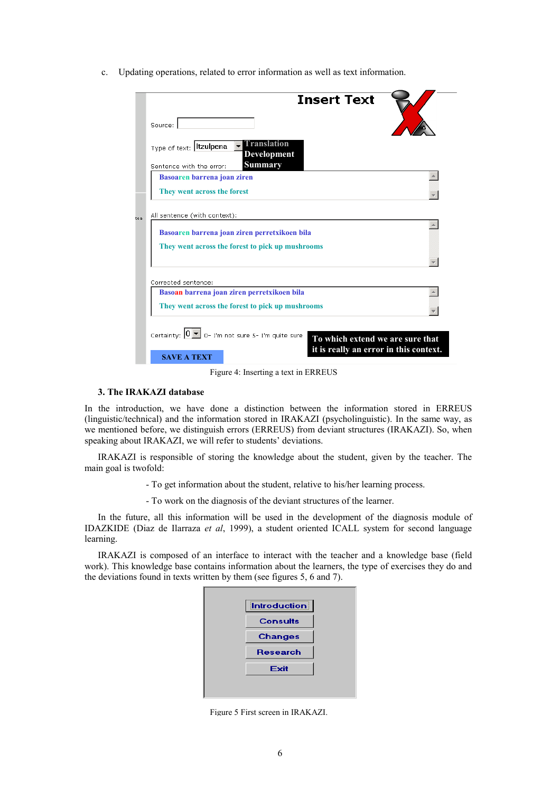c. Updating operations, related to error information as well as text information.

|                                                                                                                                                                                                                                                                                              | <b>Insert Text</b>                                                                                                                |
|----------------------------------------------------------------------------------------------------------------------------------------------------------------------------------------------------------------------------------------------------------------------------------------------|-----------------------------------------------------------------------------------------------------------------------------------|
|                                                                                                                                                                                                                                                                                              | Source:                                                                                                                           |
|                                                                                                                                                                                                                                                                                              | Translation<br>Type of text: Itzulpena<br><b>Development</b><br><b>Summary</b><br>Sentence with the error:                        |
|                                                                                                                                                                                                                                                                                              | Basoaren barrena joan ziren                                                                                                       |
|                                                                                                                                                                                                                                                                                              | They went across the forest                                                                                                       |
| te a                                                                                                                                                                                                                                                                                         | All sentence (with context):<br>Basoaren barrena joan ziren perretxikoen bila<br>They went across the forest to pick up mushrooms |
|                                                                                                                                                                                                                                                                                              | Corrected sentence:                                                                                                               |
| Basoan barrena joan ziren perretxikoen bila<br>They went across the forest to pick up mushrooms<br>Certainty: $\boxed{0}$ $\boxed{\bullet}$ $\boxed{0}$ - I'm not sure 5- I'm quite sure<br>To which extend we are sure that<br>it is really an error in this context.<br><b>SAVE A TEXT</b> |                                                                                                                                   |

Figure 4: Inserting a text in ERREUS

## **3. The IRAKAZI database**

In the introduction, we have done a distinction between the information stored in ERREUS (linguistic/technical) and the information stored in IRAKAZI (psycholinguistic). In the same way, as we mentioned before, we distinguish errors (ERREUS) from deviant structures (IRAKAZI). So, when speaking about IRAKAZI, we will refer to students' deviations.

IRAKAZI is responsible of storing the knowledge about the student, given by the teacher. The main goal is twofold:

- To get information about the student, relative to his/her learning process.

- To work on the diagnosis of the deviant structures of the learner.

In the future, all this information will be used in the development of the diagnosis module of IDAZKIDE (Diaz de Ilarraza *et al*, 1999), a student oriented ICALL system for second language learning.

IRAKAZI is composed of an interface to interact with the teacher and a knowledge base (field work). This knowledge base contains information about the learners, the type of exercises they do and the deviations found in texts written by them (see figures 5, 6 and 7).

| Introduction    |  |
|-----------------|--|
| <b>Consults</b> |  |
| <b>Changes</b>  |  |
| <b>Research</b> |  |
| Exit            |  |
|                 |  |
|                 |  |

Figure 5 First screen in IRAKAZI.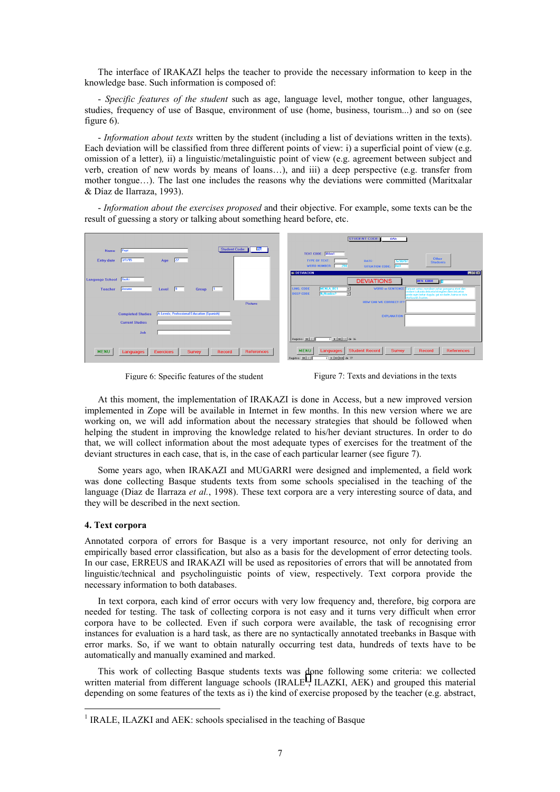The interface of IRAKAZI helps the teacher to provide the necessary information to keep in the knowledge base. Such information is composed of:

- *Specific features of the student* such as age, language level, mother tongue, other languages, studies, frequency of use of Basque, environment of use (home, business, tourism...) and so on (see figure 6).

- *Information about texts* written by the student (including a list of deviations written in the texts). Each deviation will be classified from three different points of view: i) a superficial point of view (e.g. omission of a letter)*,* ii) a linguistic/metalinguistic point of view (e.g. agreement between subject and verb, creation of new words by means of loans…), and iii) a deep perspective (e.g. transfer from mother tongue…). The last one includes the reasons why the deviations were committed (Maritxalar & Díaz de Ilarraza, 1993).

- *Information about the exercises proposed* and their objective. For example, some texts can be the result of guessing a story or talking about something heard before, etc.

|                                                                                       | <b>STUDENT CODE:</b><br><b>ilAb</b>                                                                                                                                                                                                                                                                                                                                                                                                                                        |
|---------------------------------------------------------------------------------------|----------------------------------------------------------------------------------------------------------------------------------------------------------------------------------------------------------------------------------------------------------------------------------------------------------------------------------------------------------------------------------------------------------------------------------------------------------------------------|
| <b>Student Code:</b><br><b>Name</b><br>Pepi                                           | TEXT CODE: Mbm1                                                                                                                                                                                                                                                                                                                                                                                                                                                            |
| 3/1/95<br>$\overline{27}$<br><b>Entry date</b><br>Age                                 | Other<br><b>TYPE OF TEXT:</b><br>DATE:<br>5/30/97<br><b>Students</b><br><b>WORD NUMBER:</b><br>294<br><b>Am1</b><br><b>SITUATION CODE:</b>                                                                                                                                                                                                                                                                                                                                 |
|                                                                                       | <b>EIGIX</b><br><b>BRIDESVIACION</b>                                                                                                                                                                                                                                                                                                                                                                                                                                       |
| <b>Language School</b><br><b>Hazki</b>                                                | <b>DEVIATIONS</b><br><b>DEV. CODE</b>                                                                                                                                                                                                                                                                                                                                                                                                                                      |
| $\overline{9}$<br>Josune<br>Group 1<br><b>Teacher</b><br>Level                        | <b>MENLA_BE1</b><br><b>WORD or SENTENCE</b><br><b>LING. CODE</b><br>Balzuen ustez, mendeen zehar guregana etoxi den<br>ondare kulturala dela eta hitzegiten diren lekuetan<br>gorde egin behar dugula, gal ez dadin, baina ez dute<br>etorkizurik kusten.<br>$\sim$<br><b>DEEP CODE</b><br><b>William</b><br>国                                                                                                                                                             |
| Picture                                                                               | HOW CAN WE CORRECT IT?                                                                                                                                                                                                                                                                                                                                                                                                                                                     |
| A-Levels; Professional Education (Spanish)<br><b>Completed Studies</b>                | <b>EXPLANATION</b>                                                                                                                                                                                                                                                                                                                                                                                                                                                         |
| <b>Current Studies</b>                                                                |                                                                                                                                                                                                                                                                                                                                                                                                                                                                            |
| Job                                                                                   |                                                                                                                                                                                                                                                                                                                                                                                                                                                                            |
|                                                                                       | $\overline{1}$   $\overline{1}$   $\overline{1}$   $\overline{1}$   $\overline{1}$   $\overline{1}$   $\overline{1}$   $\overline{1}$   $\overline{1}$   $\overline{1}$   $\overline{1}$   $\overline{1}$   $\overline{1}$   $\overline{1}$   $\overline{1}$   $\overline{1}$   $\overline{1}$   $\overline{1}$   $\overline{1}$   $\overline{1}$  <br>Registro: 14   4                                                                                                    |
| <b>MENU</b><br>References<br><b>Exercices</b><br>Record<br>Languages<br><b>Survey</b> | <b>MENU</b><br><b>Student Record</b><br><b>References</b><br>Languages<br><b>Survey</b><br>Record<br>$\overline{1}$   $\overline{1}$   $\overline{1}$   $\overline{1}$   $\overline{1}$   $\overline{1}$   $\overline{1}$   $\overline{1}$   $\overline{1}$   $\overline{1}$   $\overline{1}$   $\overline{1}$   $\overline{1}$   $\overline{1}$   $\overline{1}$   $\overline{1}$   $\overline{1}$   $\overline{1}$   $\overline{1}$   $\overline{1}$  <br>Registro: 14 4 |



At this moment, the implementation of IRAKAZI is done in Access, but a new improved version implemented in Zope will be available in Internet in few months. In this new version where we are working on, we will add information about the necessary strategies that should be followed when helping the student in improving the knowledge related to his/her deviant structures. In order to do that, we will collect information about the most adequate types of exercises for the treatment of the deviant structures in each case, that is, in the case of each particular learner (see figure 7).

Some years ago, when IRAKAZI and MUGARRI were designed and implemented, a field work was done collecting Basque students texts from some schools specialised in the teaching of the language (Diaz de Ilarraza *et al.*, 1998). These text corpora are a very interesting source of data, and they will be described in the next section.

### **4. Text corpora**

 $\overline{a}$ 

Annotated corpora of errors for Basque is a very important resource, not only for deriving an empirically based error classification, but also as a basis for the development of error detecting tools. In our case, ERREUS and IRAKAZI will be used as repositories of errors that will be annotated from linguistic/technical and psycholinguistic points of view, respectively. Text corpora provide the necessary information to both databases.

In text corpora, each kind of error occurs with very low frequency and, therefore, big corpora are needed for testing. The task of collecting corpora is not easy and it turns very difficult when error corpora have to be collected. Even if such corpora were available, the task of recognising error instances for evaluation is a hard task, as there are no syntactically annotated treebanks in Basque with error marks. So, if we want to obtain naturally occurring test data, hundreds of texts have to be automatically and manually examined and marked.

This work of collecting Basque students texts was done following some criteria: we collected written material from different language schools (IRALE<sup>1</sup>, ILAZKI, AEK) and grouped this material depending on some features of the texts as i) the kind of exercise proposed by the teacher (e.g. abstract,

<sup>&</sup>lt;sup>1</sup> IRALE, ILAZKI and AEK: schools specialised in the teaching of Basque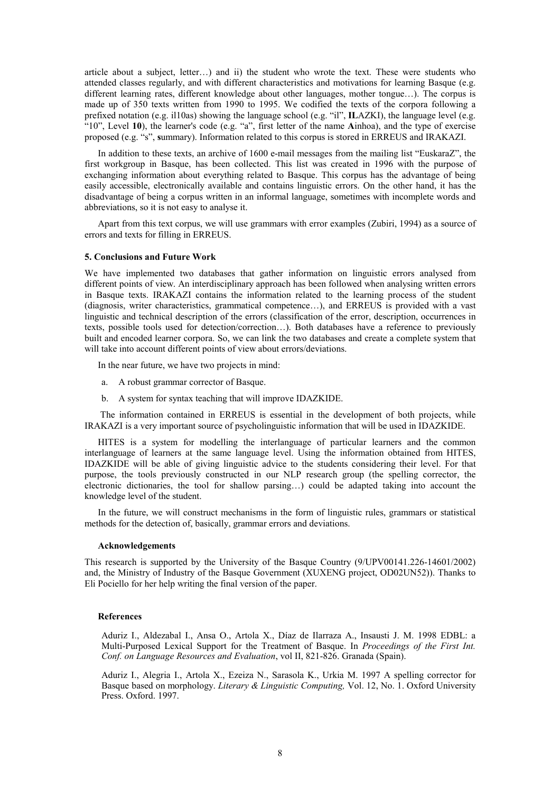article about a subject, letter…) and ii) the student who wrote the text. These were students who attended classes regularly, and with different characteristics and motivations for learning Basque (e.g. different learning rates, different knowledge about other languages, mother tongue…). The corpus is made up of 350 texts written from 1990 to 1995. We codified the texts of the corpora following a prefixed notation (e.g. il10as) showing the language school (e.g. "il", **IL**AZKI), the language level (e.g. "10", Level **10**), the learner's code (e.g. "a", first letter of the name **A**inhoa), and the type of exercise proposed (e.g. "s", **s**ummary). Information related to this corpus is stored in ERREUS and IRAKAZI.

In addition to these texts, an archive of 1600 e-mail messages from the mailing list "EuskaraZ", the first workgroup in Basque, has been collected. This list was created in 1996 with the purpose of exchanging information about everything related to Basque. This corpus has the advantage of being easily accessible, electronically available and contains linguistic errors. On the other hand, it has the disadvantage of being a corpus written in an informal language, sometimes with incomplete words and abbreviations, so it is not easy to analyse it.

Apart from this text corpus, we will use grammars with error examples (Zubiri, 1994) as a source of errors and texts for filling in ERREUS.

### **5. Conclusions and Future Work**

We have implemented two databases that gather information on linguistic errors analysed from different points of view. An interdisciplinary approach has been followed when analysing written errors in Basque texts. IRAKAZI contains the information related to the learning process of the student (diagnosis, writer characteristics, grammatical competence…), and ERREUS is provided with a vast linguistic and technical description of the errors (classification of the error, description, occurrences in texts, possible tools used for detection/correction…). Both databases have a reference to previously built and encoded learner corpora. So, we can link the two databases and create a complete system that will take into account different points of view about errors/deviations.

In the near future, we have two projects in mind:

- a. A robust grammar corrector of Basque.
- b. A system for syntax teaching that will improve IDAZKIDE.

 The information contained in ERREUS is essential in the development of both projects, while IRAKAZI is a very important source of psycholinguistic information that will be used in IDAZKIDE.

HITES is a system for modelling the interlanguage of particular learners and the common interlanguage of learners at the same language level. Using the information obtained from HITES, IDAZKIDE will be able of giving linguistic advice to the students considering their level. For that purpose, the tools previously constructed in our NLP research group (the spelling corrector, the electronic dictionaries, the tool for shallow parsing…) could be adapted taking into account the knowledge level of the student.

In the future, we will construct mechanisms in the form of linguistic rules, grammars or statistical methods for the detection of, basically, grammar errors and deviations.

#### **Acknowledgements**

This research is supported by the University of the Basque Country (9/UPV00141.226-14601/2002) and, the Ministry of Industry of the Basque Government (XUXENG project, OD02UN52)). Thanks to Eli Pociello for her help writing the final version of the paper.

#### **References**

Aduriz I., Aldezabal I., Ansa O., Artola X., Díaz de Ilarraza A., Insausti J. M. 1998 EDBL: a Multi-Purposed Lexical Support for the Treatment of Basque. In *Proceedings of the First Int. Conf. on Language Resources and Evaluation*, vol II, 821-826. Granada (Spain).

Aduriz I., Alegria I., Artola X., Ezeiza N., Sarasola K., Urkia M. 1997 A spelling corrector for Basque based on morphology. *Literary & Linguistic Computing,* Vol. 12, No. 1. Oxford University Press. Oxford. 1997.